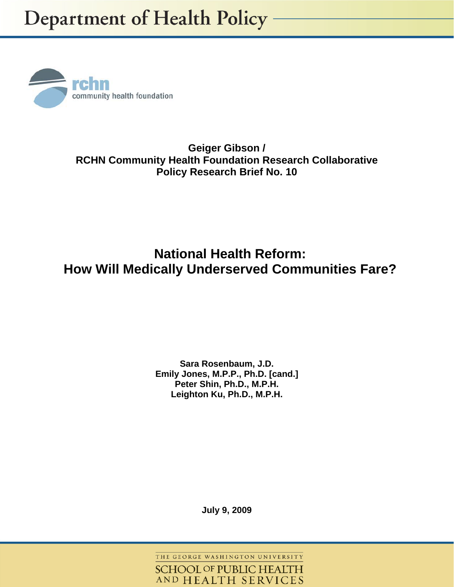

**Geiger Gibson / RCHN Community Health Foundation Research Collaborative Policy Research Brief No. 10** 

# **National Health Reform: How Will Medically Underserved Communities Fare?**

## **Sara Rosenbaum, J.D. Emily Jones, M.P.P., Ph.D. [cand.] Peter Shin, Ph.D., M.P.H. Leighton Ku, Ph.D., M.P.H.**

**July 9, 2009** 

THE GEORGE WASHINGTON UNIVERSITY **SCHOOL OF PUBLIC HEALTH** AND HEALTH SERVICES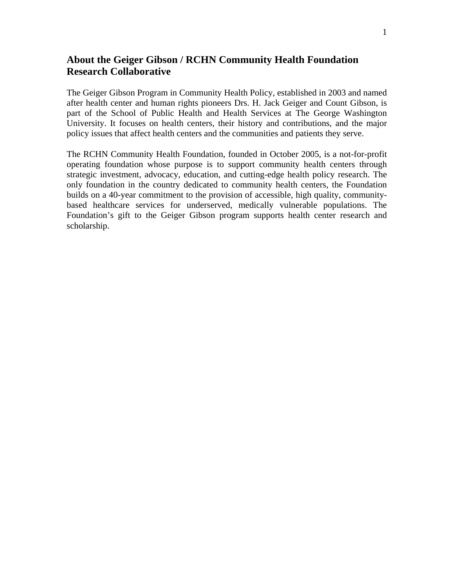## **About the Geiger Gibson / RCHN Community Health Foundation Research Collaborative**

The Geiger Gibson Program in Community Health Policy, established in 2003 and named after health center and human rights pioneers Drs. H. Jack Geiger and Count Gibson, is part of the School of Public Health and Health Services at The George Washington University. It focuses on health centers, their history and contributions, and the major policy issues that affect health centers and the communities and patients they serve.

The RCHN Community Health Foundation, founded in October 2005, is a not-for-profit operating foundation whose purpose is to support community health centers through strategic investment, advocacy, education, and cutting-edge health policy research. The only foundation in the country dedicated to community health centers, the Foundation builds on a 40-year commitment to the provision of accessible, high quality, communitybased healthcare services for underserved, medically vulnerable populations. The Foundation's gift to the Geiger Gibson program supports health center research and scholarship.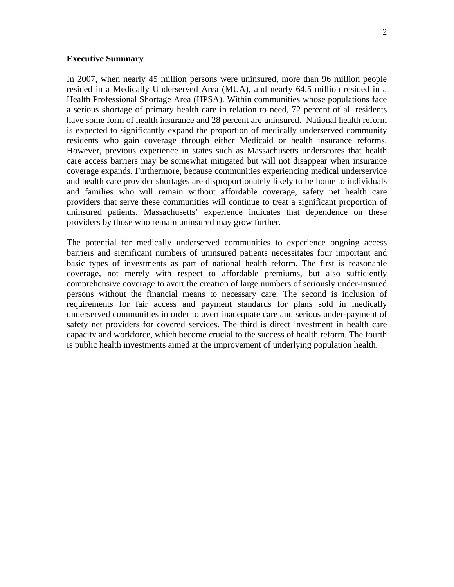#### **Executive Summary**

In 2007, when nearly 45 million persons were uninsured, more than 96 million people resided in a Medically Underserved Area (MUA), and nearly 64.5 million resided in a Health Professional Shortage Area (HPSA). Within communities whose populations face a serious shortage of primary health care in relation to need, 72 percent of all residents have some form of health insurance and 28 percent are uninsured. National health reform is expected to significantly expand the proportion of medically underserved community residents who gain coverage through either Medicaid or health insurance reforms. However, previous experience in states such as Massachusetts underscores that health care access barriers may be somewhat mitigated but will not disappear when insurance coverage expands. Furthermore, because communities experiencing medical underservice and health care provider shortages are disproportionately likely to be home to individuals and families who will remain without affordable coverage, safety net health care providers that serve these communities will continue to treat a significant proportion of uninsured patients. Massachusetts' experience indicates that dependence on these providers by those who remain uninsured may grow further.

The potential for medically underserved communities to experience ongoing access barriers and significant numbers of uninsured patients necessitates four important and basic types of investments as part of national health reform. The first is reasonable coverage, not merely with respect to affordable premiums, but also sufficiently comprehensive coverage to avert the creation of large numbers of seriously under-insured persons without the financial means to necessary care. The second is inclusion of requirements for fair access and payment standards for plans sold in medically underserved communities in order to avert inadequate care and serious under-payment of safety net providers for covered services. The third is direct investment in health care capacity and workforce, which become crucial to the success of health reform. The fourth is public health investments aimed at the improvement of underlying population health.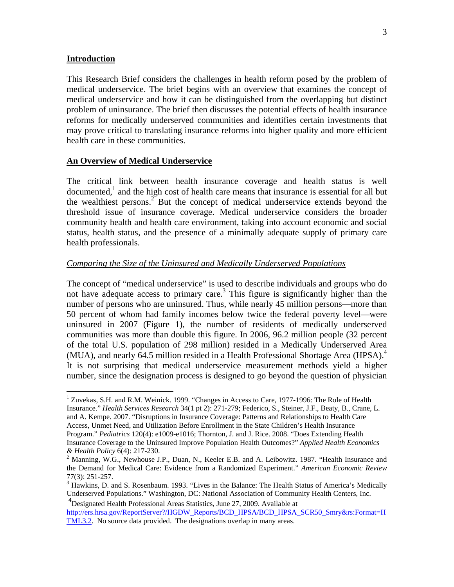#### **Introduction**

<u>.</u>

This Research Brief considers the challenges in health reform posed by the problem of medical underservice. The brief begins with an overview that examines the concept of medical underservice and how it can be distinguished from the overlapping but distinct problem of uninsurance. The brief then discusses the potential effects of health insurance reforms for medically underserved communities and identifies certain investments that may prove critical to translating insurance reforms into higher quality and more efficient health care in these communities.

#### **An Overview of Medical Underservice**

The critical link between health insurance coverage and health status is well documented,<sup>1</sup> and the high cost of health care means that insurance is essential for all but the wealthiest persons.<sup>2</sup> But the concept of medical underservice extends beyond the threshold issue of insurance coverage. Medical underservice considers the broader community health and health care environment, taking into account economic and social status, health status, and the presence of a minimally adequate supply of primary care health professionals.

#### *Comparing the Size of the Uninsured and Medically Underserved Populations*

The concept of "medical underservice" is used to describe individuals and groups who do not have adequate access to primary care.<sup>3</sup> This figure is significantly higher than the number of persons who are uninsured. Thus, while nearly 45 million persons—more than 50 percent of whom had family incomes below twice the federal poverty level—were uninsured in 2007 (Figure 1), the number of residents of medically underserved communities was more than double this figure. In 2006, 96.2 million people (32 percent of the total U.S. population of 298 million) resided in a Medically Underserved Area (MUA), and nearly 64.5 million resided in a Health Professional Shortage Area (HPSA).<sup>4</sup> It is not surprising that medical underservice measurement methods yield a higher number, since the designation process is designed to go beyond the question of physician

4 Designated Health Professional Areas Statistics, June 27, 2009. Available at http://ers.hrsa.gov/ReportServer?/HGDW\_Reports/BCD\_HPSA/BCD\_HPSA\_SCR50\_Smry&rs:Format=H TML3.2. No source data provided. The designations overlap in many areas.

<sup>&</sup>lt;sup>1</sup> Zuvekas, S.H. and R.M. Weinick. 1999. "Changes in Access to Care, 1977-1996: The Role of Health Insurance." *Health Services Research* 34(1 pt 2): 271-279; Federico, S., Steiner, J.F., Beaty, B., Crane, L. and A. Kempe. 2007. "Disruptions in Insurance Coverage: Patterns and Relationships to Health Care Access, Unmet Need, and Utilization Before Enrollment in the State Children's Health Insurance Program." *Pediatrics* 120(4): e1009-e1016; Thornton, J. and J. Rice. 2008. "Does Extending Health Insurance Coverage to the Uninsured Improve Population Health Outcomes?" *Applied Health Economics & Health Policy* 6(4): 217-230. 2

<sup>&</sup>lt;sup>2</sup> Manning, W.G., Newhouse J.P., Duan, N., Keeler E.B. and A. Leibowitz. 1987. "Health Insurance and the Demand for Medical Care: Evidence from a Randomized Experiment." *American Economic Review* 77(3): 251-257.

<sup>&</sup>lt;sup>3</sup> Hawkins, D. and S. Rosenbaum. 1993. "Lives in the Balance: The Health Status of America's Medically Underserved Populations." Washington, DC: National Association of Community Health Centers, Inc.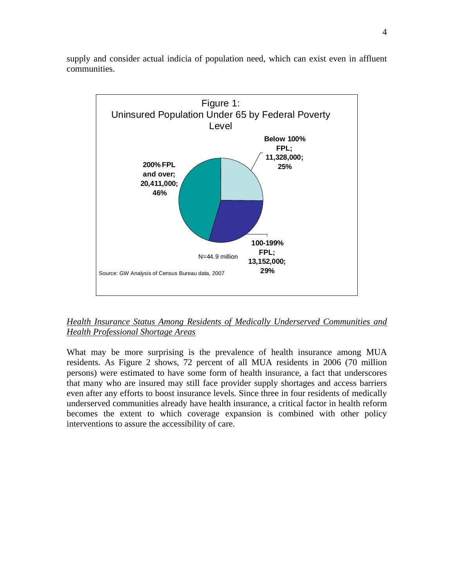

supply and consider actual indicia of population need, which can exist even in affluent communities.

## *Health Insurance Status Among Residents of Medically Underserved Communities and Health Professional Shortage Areas*

What may be more surprising is the prevalence of health insurance among MUA residents. As Figure 2 shows, 72 percent of all MUA residents in 2006 (70 million persons) were estimated to have some form of health insurance, a fact that underscores that many who are insured may still face provider supply shortages and access barriers even after any efforts to boost insurance levels. Since three in four residents of medically underserved communities already have health insurance, a critical factor in health reform becomes the extent to which coverage expansion is combined with other policy interventions to assure the accessibility of care.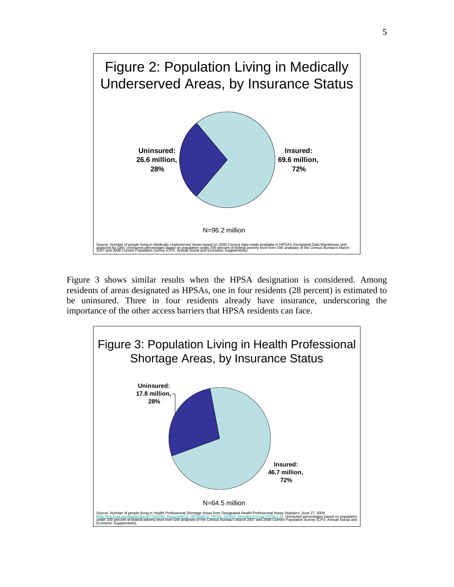

Figure 3 shows similar results when the HPSA designation is considered. Among residents of areas designated as HPSAs, one in four residents (28 percent) is estimated to be uninsured. Three in four residents already have insurance, underscoring the importance of the other access barriers that HPSA residents can face.

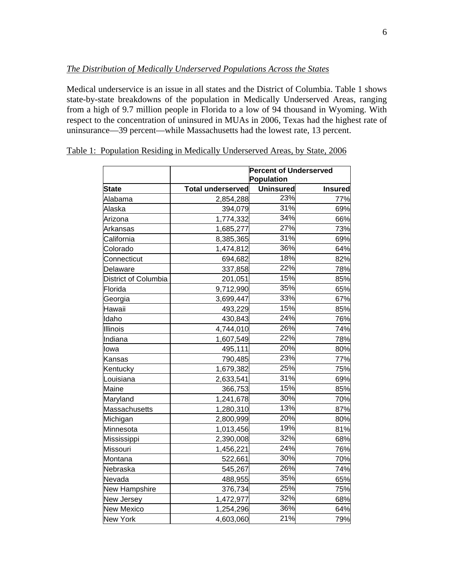#### *The Distribution of Medically Underserved Populations Across the States*

Medical underservice is an issue in all states and the District of Columbia. Table 1 shows state-by-state breakdowns of the population in Medically Underserved Areas, ranging from a high of 9.7 million people in Florida to a low of 94 thousand in Wyoming. With respect to the concentration of uninsured in MUAs in 2006, Texas had the highest rate of uninsurance—39 percent—while Massachusetts had the lowest rate, 13 percent.

|                      | <b>Percent of Underserved</b> |                         |                |  |
|----------------------|-------------------------------|-------------------------|----------------|--|
|                      |                               | Population              |                |  |
| <b>State</b>         | <b>Total underserved</b>      | <b>Uninsured</b><br>23% | <b>Insured</b> |  |
| Alabama              | 2,854,288                     |                         | 77%            |  |
| Alaska               | 394,079                       | 31%                     | 69%            |  |
| Arizona              | 1,774,332                     | 34%                     | 66%            |  |
| Arkansas             | 1,685,277                     | 27%                     | 73%            |  |
| California           | 8,385,365                     | 31%                     | 69%            |  |
| Colorado             | 1,474,812                     | 36%                     | 64%            |  |
| Connecticut          | 694,682                       | 18%                     | 82%            |  |
| Delaware             | 337,858                       | 22%                     | 78%            |  |
| District of Columbia | 201,051                       | 15%                     | 85%            |  |
| Florida              | 9,712,990                     | 35%                     | 65%            |  |
| Georgia              | 3,699,447                     | 33%                     | 67%            |  |
| Hawaii               | 493,229                       | 15%                     | 85%            |  |
| Idaho                | 430,843                       | 24%                     | 76%            |  |
| Illinois             | 4,744,010                     | 26%                     | 74%            |  |
| Indiana              | 1,607,549                     | 22%                     | 78%            |  |
| lowa                 | 495,111                       | 20%                     | 80%            |  |
| Kansas               | 790,485                       | 23%                     | 77%            |  |
| Kentucky             | 1,679,382                     | 25%                     | 75%            |  |
| Louisiana            | 2,633,541                     | 31%                     | 69%            |  |
| Maine                | 366,753                       | 15%                     | 85%            |  |
| Maryland             | 1,241,678                     | 30%                     | 70%            |  |
| Massachusetts        | 1,280,310                     | 13%                     | 87%            |  |
| Michigan             | 2,800,999                     | 20%                     | 80%            |  |
| Minnesota            | 1,013,456                     | 19%                     | 81%            |  |
| Mississippi          | 2,390,008                     | 32%                     | 68%            |  |
| Missouri             | 1,456,221                     | 24%                     | 76%            |  |
| Montana              | 522,661                       | 30%                     | 70%            |  |
| Nebraska             | 545,267                       | 26%                     | 74%            |  |
| Nevada               | 488,955                       | 35%                     | 65%            |  |
| New Hampshire        | 376,734                       | 25%                     | 75%            |  |
| New Jersey           | 1,472,977                     | 32%                     | 68%            |  |
| <b>New Mexico</b>    | 1,254,296                     | 36%                     | 64%            |  |
| <b>New York</b>      | 4,603,060                     | 21%                     | 79%            |  |

## Table 1: Population Residing in Medically Underserved Areas, by State, 2006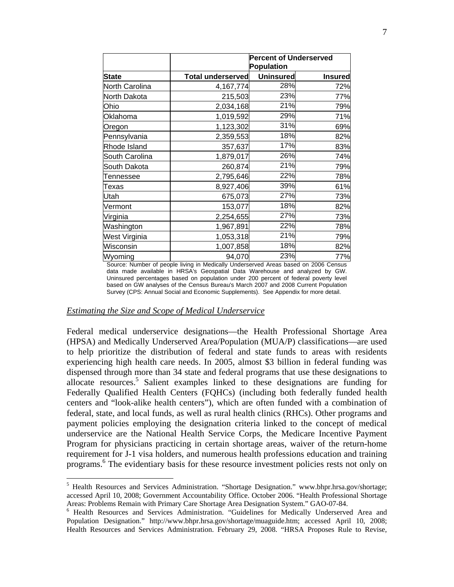|                | <b>Percent of Underserved</b><br><b>Population</b> |                  |                |  |
|----------------|----------------------------------------------------|------------------|----------------|--|
| <b>State</b>   | <b>Total underserved</b>                           | <b>Uninsured</b> | <b>Insured</b> |  |
| North Carolina | 4, 167, 774                                        | 28%              | 72%            |  |
| North Dakota   | 215,503                                            | 23%              | 77%            |  |
| Ohio           | 2,034,168                                          | 21%              | 79%            |  |
| Oklahoma       | 1,019,592                                          | 29%              | 71%            |  |
| Oregon         | 1,123,302                                          | 31%              | 69%            |  |
| Pennsylvania   | 2,359,553                                          | 18%              | 82%            |  |
| Rhode Island   | 357,637                                            | 17%              | 83%            |  |
| South Carolina | 1,879,017                                          | 26%              | 74%            |  |
| South Dakota   | 260,874                                            | 21%              | 79%            |  |
| Tennessee      | 2,795,646                                          | 22%              | 78%            |  |
| Texas          | 8,927,406                                          | 39%              | 61%            |  |
| Utah           | 675,073                                            | 27%              | 73%            |  |
| Vermont        | 153,077                                            | 18%              | 82%            |  |
| Virginia       | 2,254,655                                          | 27%              | 73%            |  |
| Washington     | 1,967,891                                          | 22%              | 78%            |  |
| West Virginia  | 1,053,318                                          | 21%              | 79%            |  |
| Wisconsin      | 1,007,858                                          | 18%              | 82%            |  |
| Wyoming        | 94,070                                             | 23%              | 77%            |  |

Source: Number of people living in Medically Underserved Areas based on 2006 Census data made available in HRSA's Geospatial Data Warehouse and analyzed by GW. Uninsured percentages based on population under 200 percent of federal poverty level based on GW analyses of the Census Bureau's March 2007 and 2008 Current Population Survey (CPS: Annual Social and Economic Supplements). See Appendix for more detail.

#### *Estimating the Size and Scope of Medical Underservice*

 $\overline{a}$ 

Federal medical underservice designations—the Health Professional Shortage Area (HPSA) and Medically Underserved Area/Population (MUA/P) classifications—are used to help prioritize the distribution of federal and state funds to areas with residents experiencing high health care needs. In 2005, almost \$3 billion in federal funding was dispensed through more than 34 state and federal programs that use these designations to allocate resources.<sup>5</sup> Salient examples linked to these designations are funding for Federally Qualified Health Centers (FQHCs) (including both federally funded health centers and "look-alike health centers"), which are often funded with a combination of federal, state, and local funds, as well as rural health clinics (RHCs). Other programs and payment policies employing the designation criteria linked to the concept of medical underservice are the National Health Service Corps, the Medicare Incentive Payment Program for physicians practicing in certain shortage areas, waiver of the return-home requirement for J-1 visa holders, and numerous health professions education and training programs.<sup>6</sup> The evidentiary basis for these resource investment policies rests not only on

<sup>&</sup>lt;sup>5</sup> Health Resources and Services Administration. "Shortage Designation." www.bhpr.hrsa.gov/shortage; accessed April 10, 2008; Government Accountability Office. October 2006. "Health Professional Shortage Areas: Problems Remain with Primary Care Shortage Area Designation System." GAO-07-84. 6

<sup>&</sup>lt;sup>6</sup> Health Resources and Services Administration. "Guidelines for Medically Underserved Area and Population Designation." http://www.bhpr.hrsa.gov/shortage/muaguide.htm; accessed April 10, 2008; Health Resources and Services Administration. February 29, 2008. "HRSA Proposes Rule to Revise,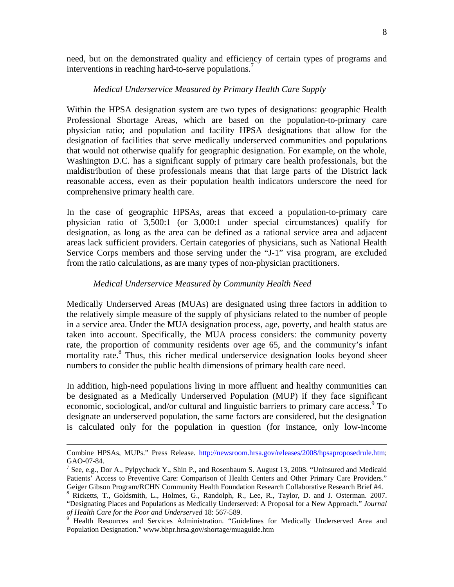need, but on the demonstrated quality and efficiency of certain types of programs and interventions in reaching hard-to-serve populations.<sup>7</sup>

#### *Medical Underservice Measured by Primary Health Care Supply*

Within the HPSA designation system are two types of designations: geographic Health Professional Shortage Areas, which are based on the population-to-primary care physician ratio; and population and facility HPSA designations that allow for the designation of facilities that serve medically underserved communities and populations that would not otherwise qualify for geographic designation. For example, on the whole, Washington D.C. has a significant supply of primary care health professionals, but the maldistribution of these professionals means that that large parts of the District lack reasonable access, even as their population health indicators underscore the need for comprehensive primary health care.

In the case of geographic HPSAs, areas that exceed a population-to-primary care physician ratio of 3,500:1 (or 3,000:1 under special circumstances) qualify for designation, as long as the area can be defined as a rational service area and adjacent areas lack sufficient providers. Certain categories of physicians, such as National Health Service Corps members and those serving under the "J-1" visa program, are excluded from the ratio calculations, as are many types of non-physician practitioners.

#### *Medical Underservice Measured by Community Health Need*

Medically Underserved Areas (MUAs) are designated using three factors in addition to the relatively simple measure of the supply of physicians related to the number of people in a service area. Under the MUA designation process, age, poverty, and health status are taken into account. Specifically, the MUA process considers: the community poverty rate, the proportion of community residents over age 65, and the community's infant mortality rate.<sup>8</sup> Thus, this richer medical underservice designation looks beyond sheer numbers to consider the public health dimensions of primary health care need.

In addition, high-need populations living in more affluent and healthy communities can be designated as a Medically Underserved Population (MUP) if they face significant economic, sociological, and/or cultural and linguistic barriers to primary care access.<sup>9</sup> To designate an underserved population, the same factors are considered, but the designation is calculated only for the population in question (for instance, only low-income

Combine HPSAs, MUPs." Press Release. http://newsroom.hrsa.gov/releases/2008/hpsaproposedrule.htm; GAO-07-84.

<sup>&</sup>lt;sup>7</sup> See, e.g., Dor A., Pylpychuck Y., Shin P., and Rosenbaum S. August 13, 2008. "Uninsured and Medicaid Patients' Access to Preventive Care: Comparison of Health Centers and Other Primary Care Providers." Geiger Gibson Program/RCHN Community Health Foundation Research Collaborative Research Brief #4.

<sup>&</sup>lt;sup>8</sup> Ricketts, T., Goldsmith, L., Holmes, G., Randolph, R., Lee, R., Taylor, D. and J. Osterman. 2007. "Designating Places and Populations as Medically Underserved: A Proposal for a New Approach." *Journal*  of Health Care for the Poor and Underserved 18: 567-589.

Health Resources and Services Administration. "Guidelines for Medically Underserved Area and Population Designation." www.bhpr.hrsa.gov/shortage/muaguide.htm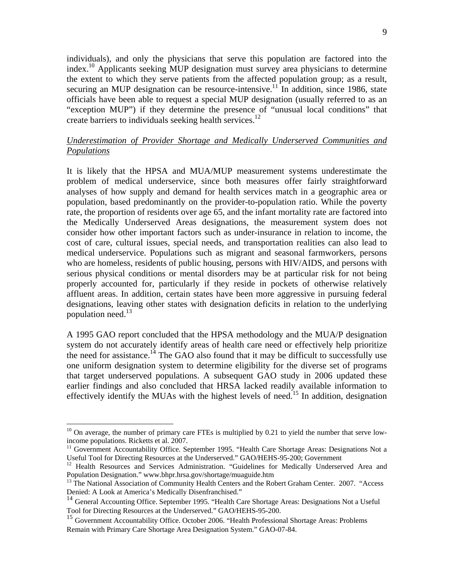individuals), and only the physicians that serve this population are factored into the index.10 Applicants seeking MUP designation must survey area physicians to determine the extent to which they serve patients from the affected population group; as a result, securing an MUP designation can be resource-intensive.<sup>11</sup> In addition, since 1986, state officials have been able to request a special MUP designation (usually referred to as an "exception MUP") if they determine the presence of "unusual local conditions" that create barriers to individuals seeking health services.<sup>12</sup>

## *Underestimation of Provider Shortage and Medically Underserved Communities and Populations*

It is likely that the HPSA and MUA/MUP measurement systems underestimate the problem of medical underservice, since both measures offer fairly straightforward analyses of how supply and demand for health services match in a geographic area or population, based predominantly on the provider-to-population ratio. While the poverty rate, the proportion of residents over age 65, and the infant mortality rate are factored into the Medically Underserved Areas designations, the measurement system does not consider how other important factors such as under-insurance in relation to income, the cost of care, cultural issues, special needs, and transportation realities can also lead to medical underservice. Populations such as migrant and seasonal farmworkers, persons who are homeless, residents of public housing, persons with HIV/AIDS, and persons with serious physical conditions or mental disorders may be at particular risk for not being properly accounted for, particularly if they reside in pockets of otherwise relatively affluent areas. In addition, certain states have been more aggressive in pursuing federal designations, leaving other states with designation deficits in relation to the underlying population need. $13$ 

A 1995 GAO report concluded that the HPSA methodology and the MUA/P designation system do not accurately identify areas of health care need or effectively help prioritize the need for assistance.<sup>14</sup> The GAO also found that it may be difficult to successfully use one uniform designation system to determine eligibility for the diverse set of programs that target underserved populations. A subsequent GAO study in 2006 updated these earlier findings and also concluded that HRSA lacked readily available information to effectively identify the MUAs with the highest levels of need.<sup>15</sup> In addition, designation

 $\overline{a}$ 

 $10$  On average, the number of primary care FTEs is multiplied by 0.21 to yield the number that serve lowincome populations. Ricketts et al. 2007.

<sup>&</sup>lt;sup>11</sup> Government Accountability Office. September 1995. "Health Care Shortage Areas: Designations Not a Useful Tool for Directing Resources at the Underserved." GAO/HEHS-95-200; Government

<sup>&</sup>lt;sup>12</sup> Health Resources and Services Administration. "Guidelines for Medically Underserved Area and Population Designation." www.bhpr.hrsa.gov/shortage/muaguide.htm

<sup>&</sup>lt;sup>13</sup> The National Association of Community Health Centers and the Robert Graham Center. 2007. "Access Denied: A Look at America's Medically Disenfranchised."

<sup>&</sup>lt;sup>14</sup> General Accounting Office. September 1995. "Health Care Shortage Areas: Designations Not a Useful Tool for Directing Resources at the Underserved." GAO/HEHS-95-200.

<sup>&</sup>lt;sup>15</sup> Government Accountability Office. October 2006. "Health Professional Shortage Areas: Problems Remain with Primary Care Shortage Area Designation System." GAO-07-84.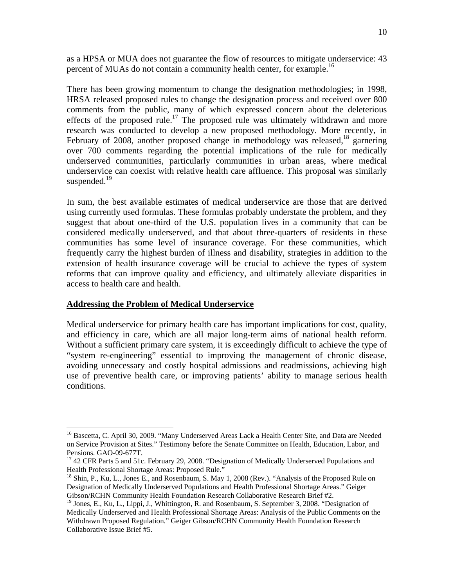as a HPSA or MUA does not guarantee the flow of resources to mitigate underservice: 43 percent of MUAs do not contain a community health center, for example.<sup>16</sup>

There has been growing momentum to change the designation methodologies; in 1998, HRSA released proposed rules to change the designation process and received over 800 comments from the public, many of which expressed concern about the deleterious effects of the proposed rule.<sup>17</sup> The proposed rule was ultimately withdrawn and more research was conducted to develop a new proposed methodology. More recently, in February of 2008, another proposed change in methodology was released, <sup>18</sup> garnering over 700 comments regarding the potential implications of the rule for medically underserved communities, particularly communities in urban areas, where medical underservice can coexist with relative health care affluence. This proposal was similarly suspended. $19$ 

In sum, the best available estimates of medical underservice are those that are derived using currently used formulas. These formulas probably understate the problem, and they suggest that about one-third of the U.S. population lives in a community that can be considered medically underserved, and that about three-quarters of residents in these communities has some level of insurance coverage. For these communities, which frequently carry the highest burden of illness and disability, strategies in addition to the extension of health insurance coverage will be crucial to achieve the types of system reforms that can improve quality and efficiency, and ultimately alleviate disparities in access to health care and health.

#### **Addressing the Problem of Medical Underservice**

 $\overline{a}$ 

Medical underservice for primary health care has important implications for cost, quality, and efficiency in care, which are all major long-term aims of national health reform. Without a sufficient primary care system, it is exceedingly difficult to achieve the type of "system re-engineering" essential to improving the management of chronic disease, avoiding unnecessary and costly hospital admissions and readmissions, achieving high use of preventive health care, or improving patients' ability to manage serious health conditions.

<sup>&</sup>lt;sup>16</sup> Bascetta, C. April 30, 2009. "Many Underserved Areas Lack a Health Center Site, and Data are Needed on Service Provision at Sites." Testimony before the Senate Committee on Health, Education, Labor, and Pensions. GAO-09-677T.

<sup>&</sup>lt;sup>17</sup> 42 CFR Parts 5 and 51c. February 29, 2008. "Designation of Medically Underserved Populations and Health Professional Shortage Areas: Proposed Rule."

<sup>&</sup>lt;sup>18</sup> Shin, P., Ku, L., Jones E., and Rosenbaum, S. May 1, 2008 (Rev.). "Analysis of the Proposed Rule on Designation of Medically Underserved Populations and Health Professional Shortage Areas." Geiger Gibson/RCHN Community Health Foundation Research Collaborative Research Brief #2.

<sup>&</sup>lt;sup>19</sup> Jones, E., Ku, L., Lippi, J., Whittington, R. and Rosenbaum, S. September 3, 2008. "Designation of Medically Underserved and Health Professional Shortage Areas: Analysis of the Public Comments on the Withdrawn Proposed Regulation." Geiger Gibson/RCHN Community Health Foundation Research Collaborative Issue Brief #5.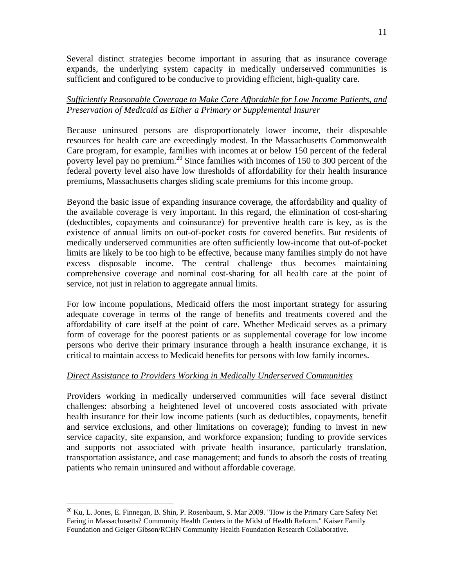Several distinct strategies become important in assuring that as insurance coverage expands, the underlying system capacity in medically underserved communities is sufficient and configured to be conducive to providing efficient, high-quality care.

## *Sufficiently Reasonable Coverage to Make Care Affordable for Low Income Patients, and Preservation of Medicaid as Either a Primary or Supplemental Insurer*

Because uninsured persons are disproportionately lower income, their disposable resources for health care are exceedingly modest. In the Massachusetts Commonwealth Care program, for example, families with incomes at or below 150 percent of the federal poverty level pay no premium.<sup>20</sup> Since families with incomes of  $150$  to 300 percent of the federal poverty level also have low thresholds of affordability for their health insurance premiums, Massachusetts charges sliding scale premiums for this income group.

Beyond the basic issue of expanding insurance coverage, the affordability and quality of the available coverage is very important. In this regard, the elimination of cost-sharing (deductibles, copayments and coinsurance) for preventive health care is key, as is the existence of annual limits on out-of-pocket costs for covered benefits. But residents of medically underserved communities are often sufficiently low-income that out-of-pocket limits are likely to be too high to be effective, because many families simply do not have excess disposable income. The central challenge thus becomes maintaining comprehensive coverage and nominal cost-sharing for all health care at the point of service, not just in relation to aggregate annual limits.

For low income populations, Medicaid offers the most important strategy for assuring adequate coverage in terms of the range of benefits and treatments covered and the affordability of care itself at the point of care. Whether Medicaid serves as a primary form of coverage for the poorest patients or as supplemental coverage for low income persons who derive their primary insurance through a health insurance exchange, it is critical to maintain access to Medicaid benefits for persons with low family incomes.

## *Direct Assistance to Providers Working in Medically Underserved Communities*

Providers working in medically underserved communities will face several distinct challenges: absorbing a heightened level of uncovered costs associated with private health insurance for their low income patients (such as deductibles, copayments, benefit and service exclusions, and other limitations on coverage); funding to invest in new service capacity, site expansion, and workforce expansion; funding to provide services and supports not associated with private health insurance, particularly translation, transportation assistance, and case management; and funds to absorb the costs of treating patients who remain uninsured and without affordable coverage.

1

<sup>&</sup>lt;sup>20</sup> Ku, L. Jones, E. Finnegan, B. Shin, P. Rosenbaum, S. Mar 2009. "How is the Primary Care Safety Net Faring in Massachusetts? Community Health Centers in the Midst of Health Reform." Kaiser Family Foundation and Geiger Gibson/RCHN Community Health Foundation Research Collaborative.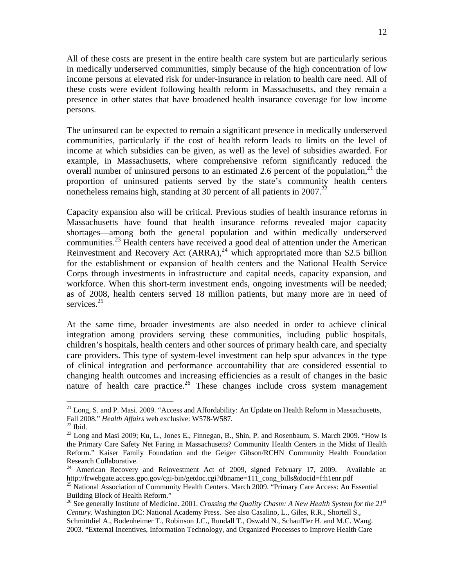All of these costs are present in the entire health care system but are particularly serious in medically underserved communities, simply because of the high concentration of low income persons at elevated risk for under-insurance in relation to health care need. All of these costs were evident following health reform in Massachusetts, and they remain a presence in other states that have broadened health insurance coverage for low income persons.

The uninsured can be expected to remain a significant presence in medically underserved communities, particularly if the cost of health reform leads to limits on the level of income at which subsidies can be given, as well as the level of subsidies awarded. For example, in Massachusetts, where comprehensive reform significantly reduced the overall number of uninsured persons to an estimated 2.6 percent of the population,  $2<sup>1</sup>$  the proportion of uninsured patients served by the state's community health centers nonetheless remains high, standing at 30 percent of all patients in 2007.<sup>22</sup>

Capacity expansion also will be critical. Previous studies of health insurance reforms in Massachusetts have found that health insurance reforms revealed major capacity shortages—among both the general population and within medically underserved communities.<sup>23</sup> Health centers have received a good deal of attention under the American Reinvestment and Recovery Act  $(ARRA)$ ,<sup>24</sup> which appropriated more than \$2.5 billion for the establishment or expansion of health centers and the National Health Service Corps through investments in infrastructure and capital needs, capacity expansion, and workforce. When this short-term investment ends, ongoing investments will be needed; as of 2008, health centers served 18 million patients, but many more are in need of services.<sup>25</sup>

At the same time, broader investments are also needed in order to achieve clinical integration among providers serving these communities, including public hospitals, children's hospitals, health centers and other sources of primary health care, and specialty care providers. This type of system-level investment can help spur advances in the type of clinical integration and performance accountability that are considered essential to changing health outcomes and increasing efficiencies as a result of changes in the basic nature of health care practice.<sup>26</sup> These changes include cross system management

 $\overline{a}$ 

 $^{21}$  Long, S. and P. Masi. 2009. "Access and Affordability: An Update on Health Reform in Massachusetts, Fall 2008." *Health Affairs* web exclusive: W578-W587.<br><sup>22</sup> Ibid.

 $^{23}$  Long and Masi 2009; Ku, L., Jones E., Finnegan, B., Shin, P. and Rosenbaum, S. March 2009. "How Is the Primary Care Safety Net Faring in Massachusetts? Community Health Centers in the Midst of Health Reform." Kaiser Family Foundation and the Geiger Gibson/RCHN Community Health Foundation Research Collaborative.

<sup>&</sup>lt;sup>24</sup> American Recovery and Reinvestment Act of 2009, signed February 17, 2009. Available at:<br>http://frwebgate.access.gpo.gov/cgi-bin/getdoc.cgi?dbname=111\_cong\_bills&docid=f:h1enr.pdf

<sup>&</sup>lt;sup>25</sup> National Association of Community Health Centers. March 2009. "Primary Care Access: An Essential Building Block of Health Reform."

<sup>26</sup> See generally Institute of Medicine. 2001. *Crossing the Quality Chasm: A New Health System for the 21st Century.* Washington DC: National Academy Press. See also Casalino, L., Giles, R.R., Shortell S., Schmittdiel A., Bodenheimer T., Robinson J.C., Rundall T., Oswald N., Schauffler H. and M.C. Wang. 2003. "External Incentives, Information Technology, and Organized Processes to Improve Health Care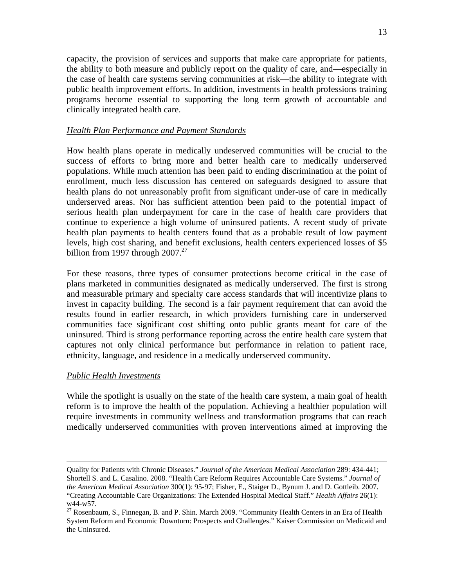capacity, the provision of services and supports that make care appropriate for patients, the ability to both measure and publicly report on the quality of care, and—especially in the case of health care systems serving communities at risk—the ability to integrate with public health improvement efforts. In addition, investments in health professions training programs become essential to supporting the long term growth of accountable and clinically integrated health care.

#### *Health Plan Performance and Payment Standards*

How health plans operate in medically undeserved communities will be crucial to the success of efforts to bring more and better health care to medically underserved populations. While much attention has been paid to ending discrimination at the point of enrollment, much less discussion has centered on safeguards designed to assure that health plans do not unreasonably profit from significant under-use of care in medically underserved areas. Nor has sufficient attention been paid to the potential impact of serious health plan underpayment for care in the case of health care providers that continue to experience a high volume of uninsured patients. A recent study of private health plan payments to health centers found that as a probable result of low payment levels, high cost sharing, and benefit exclusions, health centers experienced losses of \$5 billion from 1997 through  $2007.<sup>27</sup>$ 

For these reasons, three types of consumer protections become critical in the case of plans marketed in communities designated as medically underserved. The first is strong and measurable primary and specialty care access standards that will incentivize plans to invest in capacity building. The second is a fair payment requirement that can avoid the results found in earlier research, in which providers furnishing care in underserved communities face significant cost shifting onto public grants meant for care of the uninsured. Third is strong performance reporting across the entire health care system that captures not only clinical performance but performance in relation to patient race, ethnicity, language, and residence in a medically underserved community.

#### *Public Health Investments*

While the spotlight is usually on the state of the health care system, a main goal of health reform is to improve the health of the population. Achieving a healthier population will require investments in community wellness and transformation programs that can reach medically underserved communities with proven interventions aimed at improving the

Quality for Patients with Chronic Diseases." *Journal of the American Medical Association* 289: 434-441; Shortell S. and L. Casalino. 2008. "Health Care Reform Requires Accountable Care Systems." *Journal of the American Medical Association* 300(1): 95-97; Fisher, E., Staiger D., Bynum J. and D. Gottleib. 2007. "Creating Accountable Care Organizations: The Extended Hospital Medical Staff." *Health Affairs* 26(1): w44-w57.

<sup>&</sup>lt;sup>27</sup> Rosenbaum, S., Finnegan, B. and P. Shin. March 2009. "Community Health Centers in an Era of Health System Reform and Economic Downturn: Prospects and Challenges." Kaiser Commission on Medicaid and the Uninsured.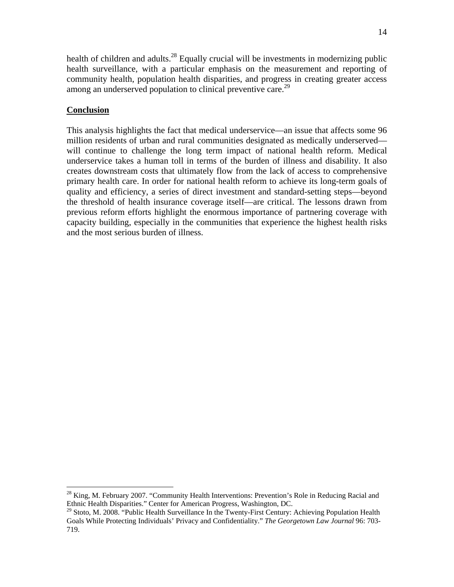health of children and adults.<sup>28</sup> Equally crucial will be investments in modernizing public health surveillance, with a particular emphasis on the measurement and reporting of community health, population health disparities, and progress in creating greater access among an underserved population to clinical preventive care.<sup>29</sup>

## **Conclusion**

1

This analysis highlights the fact that medical underservice—an issue that affects some 96 million residents of urban and rural communities designated as medically underserved will continue to challenge the long term impact of national health reform. Medical underservice takes a human toll in terms of the burden of illness and disability. It also creates downstream costs that ultimately flow from the lack of access to comprehensive primary health care. In order for national health reform to achieve its long-term goals of quality and efficiency, a series of direct investment and standard-setting steps—beyond the threshold of health insurance coverage itself—are critical. The lessons drawn from previous reform efforts highlight the enormous importance of partnering coverage with capacity building, especially in the communities that experience the highest health risks and the most serious burden of illness.

 $^{28}$  King, M. February 2007. "Community Health Interventions: Prevention's Role in Reducing Racial and Ethnic Health Disparities." Center for American Progress, Washington, DC.

<sup>&</sup>lt;sup>29</sup> Stoto, M. 2008. "Public Health Surveillance In the Twenty-First Century: Achieving Population Health Goals While Protecting Individuals' Privacy and Confidentiality." *The Georgetown Law Journal* 96: 703- 719.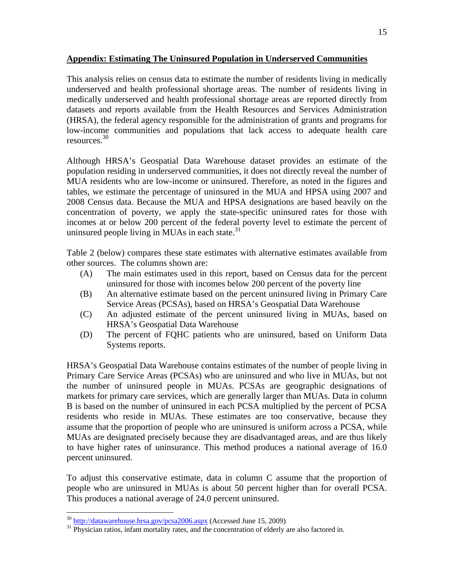## **Appendix: Estimating The Uninsured Population in Underserved Communities**

This analysis relies on census data to estimate the number of residents living in medically underserved and health professional shortage areas. The number of residents living in medically underserved and health professional shortage areas are reported directly from datasets and reports available from the Health Resources and Services Administration (HRSA), the federal agency responsible for the administration of grants and programs for low-income communities and populations that lack access to adequate health care resources.30

Although HRSA's Geospatial Data Warehouse dataset provides an estimate of the population residing in underserved communities, it does not directly reveal the number of MUA residents who are low-income or uninsured. Therefore, as noted in the figures and tables, we estimate the percentage of uninsured in the MUA and HPSA using 2007 and 2008 Census data. Because the MUA and HPSA designations are based heavily on the concentration of poverty, we apply the state-specific uninsured rates for those with incomes at or below 200 percent of the federal poverty level to estimate the percent of uninsured people living in MUAs in each state. $31$ 

Table 2 (below) compares these state estimates with alternative estimates available from other sources. The columns shown are:

- (A) The main estimates used in this report, based on Census data for the percent uninsured for those with incomes below 200 percent of the poverty line
- (B) An alternative estimate based on the percent uninsured living in Primary Care Service Areas (PCSAs), based on HRSA's Geospatial Data Warehouse
- (C) An adjusted estimate of the percent uninsured living in MUAs, based on HRSA's Geospatial Data Warehouse
- (D) The percent of FQHC patients who are uninsured, based on Uniform Data Systems reports.

HRSA's Geospatial Data Warehouse contains estimates of the number of people living in Primary Care Service Areas (PCSAs) who are uninsured and who live in MUAs, but not the number of uninsured people in MUAs. PCSAs are geographic designations of markets for primary care services, which are generally larger than MUAs. Data in column B is based on the number of uninsured in each PCSA multiplied by the percent of PCSA residents who reside in MUAs. These estimates are too conservative, because they assume that the proportion of people who are uninsured is uniform across a PCSA, while MUAs are designated precisely because they are disadvantaged areas, and are thus likely to have higher rates of uninsurance. This method produces a national average of 16.0 percent uninsured.

To adjust this conservative estimate, data in column C assume that the proportion of people who are uninsured in MUAs is about 50 percent higher than for overall PCSA. This produces a national average of 24.0 percent uninsured.

<sup>&</sup>lt;sup>30</sup> http://datawarehouse.hrsa.gov/pcsa2006.aspx (Accessed June 15, 2009)

<sup>&</sup>lt;sup>31</sup> Physician ratios, infant mortality rates, and the concentration of elderly are also factored in.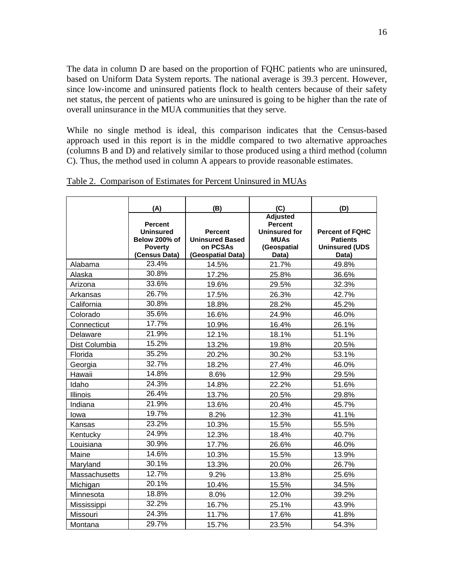The data in column D are based on the proportion of FQHC patients who are uninsured, based on Uniform Data System reports. The national average is 39.3 percent. However, since low-income and uninsured patients flock to health centers because of their safety net status, the percent of patients who are uninsured is going to be higher than the rate of overall uninsurance in the MUA communities that they serve.

While no single method is ideal, this comparison indicates that the Census-based approach used in this report is in the middle compared to two alternative approaches (columns B and D) and relatively similar to those produced using a third method (column C). Thus, the method used in column A appears to provide reasonable estimates.

|                 | (A)                                                                                    | (B)                                                                       | (C)                                                                                              | (D)                                                                         |
|-----------------|----------------------------------------------------------------------------------------|---------------------------------------------------------------------------|--------------------------------------------------------------------------------------------------|-----------------------------------------------------------------------------|
|                 | <b>Percent</b><br><b>Uninsured</b><br>Below 200% of<br><b>Poverty</b><br>(Census Data) | <b>Percent</b><br><b>Uninsured Based</b><br>on PCSAs<br>(Geospatial Data) | <b>Adjusted</b><br><b>Percent</b><br><b>Uninsured for</b><br><b>MUAs</b><br>(Geospatial<br>Data) | <b>Percent of FQHC</b><br><b>Patients</b><br><b>Uninsured (UDS</b><br>Data) |
| Alabama         | 23.4%                                                                                  | 14.5%                                                                     | 21.7%                                                                                            | 49.8%                                                                       |
| Alaska          | 30.8%                                                                                  | 17.2%                                                                     | 25.8%                                                                                            | 36.6%                                                                       |
| Arizona         | 33.6%                                                                                  | 19.6%                                                                     | 29.5%                                                                                            | 32.3%                                                                       |
| Arkansas        | 26.7%                                                                                  | 17.5%                                                                     | 26.3%                                                                                            | 42.7%                                                                       |
| California      | 30.8%                                                                                  | 18.8%                                                                     | 28.2%                                                                                            | 45.2%                                                                       |
| Colorado        | 35.6%                                                                                  | 16.6%                                                                     | 24.9%                                                                                            | 46.0%                                                                       |
| Connecticut     | 17.7%                                                                                  | 10.9%                                                                     | 16.4%                                                                                            | 26.1%                                                                       |
| Delaware        | 21.9%                                                                                  | 12.1%                                                                     | 18.1%                                                                                            | 51.1%                                                                       |
| Dist Columbia   | 15.2%                                                                                  | 13.2%                                                                     | 19.8%                                                                                            | 20.5%                                                                       |
| Florida         | 35.2%                                                                                  | 20.2%                                                                     | 30.2%                                                                                            | 53.1%                                                                       |
| Georgia         | 32.7%                                                                                  | 18.2%                                                                     | 27.4%                                                                                            | 46.0%                                                                       |
| Hawaii          | 14.8%                                                                                  | 8.6%                                                                      | 12.9%                                                                                            | 29.5%                                                                       |
| Idaho           | 24.3%                                                                                  | 14.8%                                                                     | 22.2%                                                                                            | 51.6%                                                                       |
| <b>Illinois</b> | 26.4%                                                                                  | 13.7%                                                                     | 20.5%                                                                                            | 29.8%                                                                       |
| Indiana         | 21.9%                                                                                  | 13.6%                                                                     | 20.4%                                                                                            | 45.7%                                                                       |
| lowa            | 19.7%                                                                                  | 8.2%                                                                      | 12.3%                                                                                            | 41.1%                                                                       |
| Kansas          | 23.2%                                                                                  | 10.3%                                                                     | 15.5%                                                                                            | 55.5%                                                                       |
| Kentucky        | 24.9%                                                                                  | 12.3%                                                                     | 18.4%                                                                                            | 40.7%                                                                       |
| Louisiana       | 30.9%                                                                                  | 17.7%                                                                     | 26.6%                                                                                            | 46.0%                                                                       |
| Maine           | 14.6%                                                                                  | 10.3%                                                                     | 15.5%                                                                                            | 13.9%                                                                       |
| Maryland        | 30.1%                                                                                  | 13.3%                                                                     | 20.0%                                                                                            | 26.7%                                                                       |
| Massachusetts   | 12.7%                                                                                  | 9.2%                                                                      | 13.8%                                                                                            | 25.6%                                                                       |
| Michigan        | 20.1%                                                                                  | 10.4%                                                                     | 15.5%                                                                                            | 34.5%                                                                       |
| Minnesota       | 18.8%                                                                                  | 8.0%                                                                      | 12.0%                                                                                            | 39.2%                                                                       |
| Mississippi     | 32.2%                                                                                  | 16.7%                                                                     | 25.1%                                                                                            | 43.9%                                                                       |
| Missouri        | 24.3%                                                                                  | 11.7%                                                                     | 17.6%                                                                                            | 41.8%                                                                       |
| Montana         | 29.7%                                                                                  | 15.7%                                                                     | 23.5%                                                                                            | 54.3%                                                                       |

Table 2. Comparison of Estimates for Percent Uninsured in MUAs